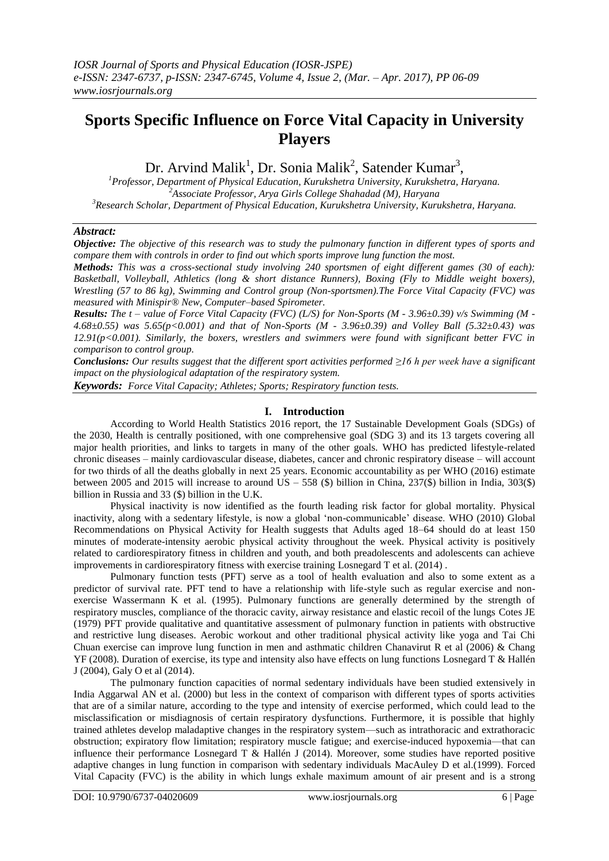# **Sports Specific Influence on Force Vital Capacity in University Players**

Dr. Arvind Malik<sup>1</sup>, Dr. Sonia Malik<sup>2</sup>, Satender Kumar<sup>3</sup>,

*<sup>1</sup>Professor, Department of Physical Education, Kurukshetra University, Kurukshetra, Haryana. <sup>2</sup>Associate Professor, Arya Girls College Shahadad (M), Haryana <sup>3</sup>Research Scholar, Department of Physical Education, Kurukshetra University, Kurukshetra, Haryana.*

## *Abstract:*

*Objective: The objective of this research was to study the pulmonary function in different types of sports and compare them with controls in order to find out which sports improve lung function the most.* 

*Methods: This was a cross-sectional study involving 240 sportsmen of eight different games (30 of each): Basketball, Volleyball, Athletics (long & short distance Runners), Boxing (Fly to Middle weight boxers), Wrestling (57 to 86 kg), Swimming and Control group (Non-sportsmen).The Force Vital Capacity (FVC) was measured with Minispir® New, Computer–based Spirometer.* 

*Results: The t – value of Force Vital Capacity (FVC) (L/S) for Non-Sports (M - 3.96±0.39) v/s Swimming (M - 4.68±0.55) was 5.65(p<0.001) and that of Non-Sports (M - 3.96±0.39) and Volley Ball (5.32±0.43) was 12.91(p<0.001). Similarly, the boxers, wrestlers and swimmers were found with significant better FVC in comparison to control group.*

*Conclusions: Our results suggest that the different sport activities performed ≥16 h per week have a significant impact on the physiological adaptation of the respiratory system.*

*Keywords: Force Vital Capacity; Athletes; Sports; Respiratory function tests.*

## **I. Introduction**

According to World Health Statistics 2016 report, the 17 Sustainable Development Goals (SDGs) of the 2030, Health is centrally positioned, with one comprehensive goal (SDG 3) and its 13 targets covering all major health priorities, and links to targets in many of the other goals. WHO has predicted lifestyle-related chronic diseases – mainly cardiovascular disease, diabetes, cancer and chronic respiratory disease – will account for two thirds of all the deaths globally in next 25 years. Economic accountability as per WHO (2016) estimate between 2005 and 2015 will increase to around US – 558 (\$) billion in China, 237(\$) billion in India, 303(\$) billion in Russia and 33 (\$) billion in the U.K.

Physical inactivity is now identified as the fourth leading risk factor for global mortality. Physical inactivity, along with a sedentary lifestyle, is now a global 'non-communicable' disease. WHO (2010) Global Recommendations on Physical Activity for Health suggests that Adults aged 18–64 should do at least 150 minutes of moderate-intensity aerobic physical activity throughout the week. Physical activity is positively related to cardiorespiratory fitness in children and youth, and both preadolescents and adolescents can achieve improvements in cardiorespiratory fitness with exercise training Losnegard T et al. (2014) .

Pulmonary function tests (PFT) serve as a tool of health evaluation and also to some extent as a predictor of survival rate. PFT tend to have a relationship with life-style such as regular exercise and nonexercise Wassermann K et al. (1995). Pulmonary functions are generally determined by the strength of respiratory muscles, compliance of the thoracic cavity, airway resistance and elastic recoil of the lungs Cotes JE (1979) PFT provide qualitative and quantitative assessment of pulmonary function in patients with obstructive and restrictive lung diseases. Aerobic workout and other traditional physical activity like yoga and Tai Chi Chuan exercise can improve lung function in men and asthmatic children Chanavirut R et al (2006) & Chang YF (2008). Duration of exercise, its type and intensity also have effects on lung functions Losnegard T & Hallén J (2004), Galy O et al (2014).

The pulmonary function capacities of normal sedentary individuals have been studied extensively in India Aggarwal AN et al. (2000) but less in the context of comparison with different types of sports activities that are of a similar nature, according to the type and intensity of exercise performed, which could lead to the misclassification or misdiagnosis of certain respiratory dysfunctions. Furthermore, it is possible that highly trained athletes develop maladaptive changes in the respiratory system—such as intrathoracic and extrathoracic obstruction; expiratory flow limitation; respiratory muscle fatigue; and exercise-induced hypoxemia—that can influence their performance Losnegard T & Hallén J (2014). Moreover, some studies have reported positive adaptive changes in lung function in comparison with sedentary individuals MacAuley D et al.(1999). Forced Vital Capacity (FVC) is the ability in which lungs exhale maximum amount of air present and is a strong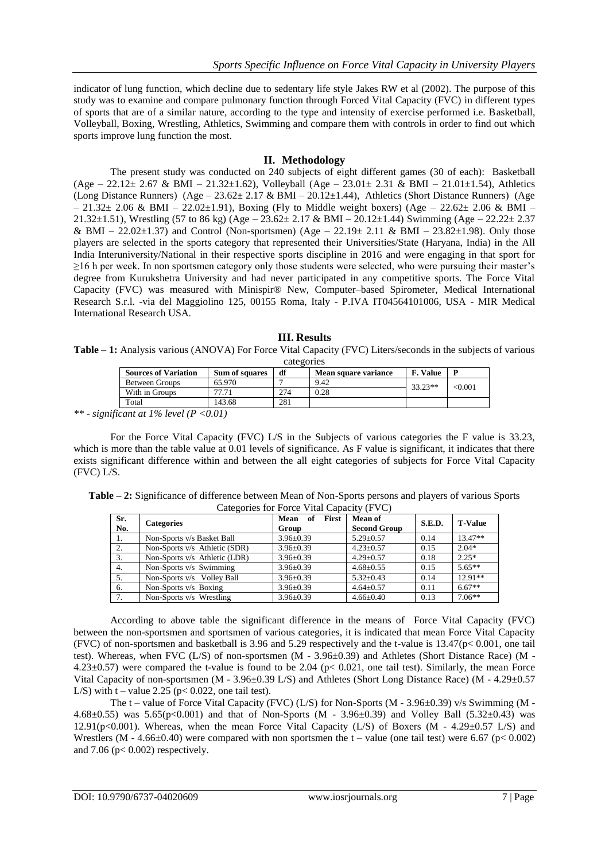indicator of lung function, which decline due to sedentary life style Jakes RW et al (2002). The purpose of this study was to examine and compare pulmonary function through Forced Vital Capacity (FVC) in different types of sports that are of a similar nature, according to the type and intensity of exercise performed i.e. Basketball, Volleyball, Boxing, Wrestling, Athletics, Swimming and compare them with controls in order to find out which sports improve lung function the most.

## **II. Methodology**

The present study was conducted on 240 subjects of eight different games (30 of each): Basketball  $(Age - 22.12 \pm 2.67 \& BMI - 21.32 \pm 1.62)$ , Volleyball  $(Age - 23.01 \pm 2.31 \& BMI - 21.01 \pm 1.54)$ , Athletics (Long Distance Runners) (Age – 23.62± 2.17 & BMI – 20.12±1.44), Athletics (Short Distance Runners) (Age  $-21.32 \pm 2.06$  & BMI – 22.02 $\pm$ 1.91), Boxing (Fly to Middle weight boxers) (Age – 22.62 $\pm$  2.06 & BMI – 21.32±1.51), Wrestling (57 to 86 kg) (Age – 23.62± 2.17 & BMI – 20.12±1.44) Swimming (Age – 22.22± 2.37 & BMI – 22.02 $\pm$ 1.37) and Control (Non-sportsmen) (Age – 22.19 $\pm$  2.11 & BMI – 23.82 $\pm$ 1.98). Only those players are selected in the sports category that represented their Universities/State (Haryana, India) in the All India Interuniversity/National in their respective sports discipline in 2016 and were engaging in that sport for ≥16 h per week. In non sportsmen category only those students were selected, who were pursuing their master's degree from Kurukshetra University and had never participated in any competitive sports. The Force Vital Capacity (FVC) was measured with Minispir® New, Computer–based Spirometer, Medical International Research S.r.l. -via del Maggiolino 125, 00155 Roma, Italy - P.IVA IT04564101006, USA - MIR Medical International Research USA.

### **III. Results Table – 1:** Analysis various (ANOVA) For Force Vital Capacity (FVC) Liters/seconds in the subjects of various categories

| <b>Sources of Variation</b> | <b>Sum of squares</b> | df  | Mean square variance | <b>F.</b> Value |         |
|-----------------------------|-----------------------|-----|----------------------|-----------------|---------|
| Between Groups              | 65.970                |     | 9.42                 | $33.23**$       | < 0.001 |
| With in Groups              | 77.71                 | 274 | 0.28                 |                 |         |
| Total                       | 143.68                | 281 |                      |                 |         |

*\*\* - significant at 1% level (P <0.01)*

For the Force Vital Capacity (FVC) L/S in the Subjects of various categories the F value is 33.23, which is more than the table value at 0.01 levels of significance. As F value is significant, it indicates that there exists significant difference within and between the all eight categories of subjects for Force Vital Capacity (FVC) L/S.

| Table – 2: Significance of difference between Mean of Non-Sports persons and players of various Sports |
|--------------------------------------------------------------------------------------------------------|
| Categories for Force Vital Capacity (FVC)                                                              |

| Sr.<br>No. | <b>Categories</b>             | First<br>Mean<br>of<br>Group | Mean of<br><b>Second Group</b> | S.E.D. | <b>T-Value</b> |
|------------|-------------------------------|------------------------------|--------------------------------|--------|----------------|
| -1.        | Non-Sports v/s Basket Ball    | $3.96 \pm 0.39$              | $5.29 \pm 0.57$                | 0.14   | $13.47**$      |
| 2.         | Non-Sports v/s Athletic (SDR) | $3.96 \pm 0.39$              | $4.23 \pm 0.57$                | 0.15   | $2.04*$        |
| 3.         | Non-Sports v/s Athletic (LDR) | $3.96 \pm 0.39$              | $4.29 + 0.57$                  | 0.18   | $2.25*$        |
| 4.         | Non-Sports v/s Swimming       | $3.96 \pm 0.39$              | $4.68 \pm 0.55$                | 0.15   | $5.65**$       |
| 5.         | Non-Sports v/s Volley Ball    | $3.96 \pm 0.39$              | $5.32+0.43$                    | 0.14   | $12.91**$      |
| 6.         | Non-Sports v/s Boxing         | $3.96 \pm 0.39$              | $4.64 \pm 0.57$                | 0.11   | $6.67**$       |
| 7.         | Non-Sports v/s Wrestling      | $3.96 \pm 0.39$              | $4.66 \pm 0.40$                | 0.13   | $7.06**$       |

According to above table the significant difference in the means of Force Vital Capacity (FVC) between the non-sportsmen and sportsmen of various categories, it is indicated that mean Force Vital Capacity (FVC) of non-sportsmen and basketball is 3.96 and 5.29 respectively and the t-value is 13.47(p< 0.001, one tail test). Whereas, when FVC (L/S) of non-sportsmen (M - 3.96±0.39) and Athletes (Short Distance Race) (M - 4.23±0.57) were compared the t-value is found to be 2.04 (p< 0.021, one tail test). Similarly, the mean Force Vital Capacity of non-sportsmen (M - 3.96±0.39 L/S) and Athletes (Short Long Distance Race) (M - 4.29±0.57 L/S) with  $t -$  value 2.25 ( $p < 0.022$ , one tail test).

The t – value of Force Vital Capacity (FVC) (L/S) for Non-Sports (M - 3.96 $\pm$ 0.39) v/s Swimming (M -4.68 $\pm$ 0.55) was 5.65(p<0.001) and that of Non-Sports (M - 3.96 $\pm$ 0.39) and Volley Ball (5.32 $\pm$ 0.43) was 12.91(p<0.001). Whereas, when the mean Force Vital Capacity (L/S) of Boxers (M - 4.29 $\pm$ 0.57 L/S) and Wrestlers (M - 4.66 $\pm$ 0.40) were compared with non sportsmen the t – value (one tail test) were 6.67 (p< 0.002) and  $7.06$  ( $p < 0.002$ ) respectively.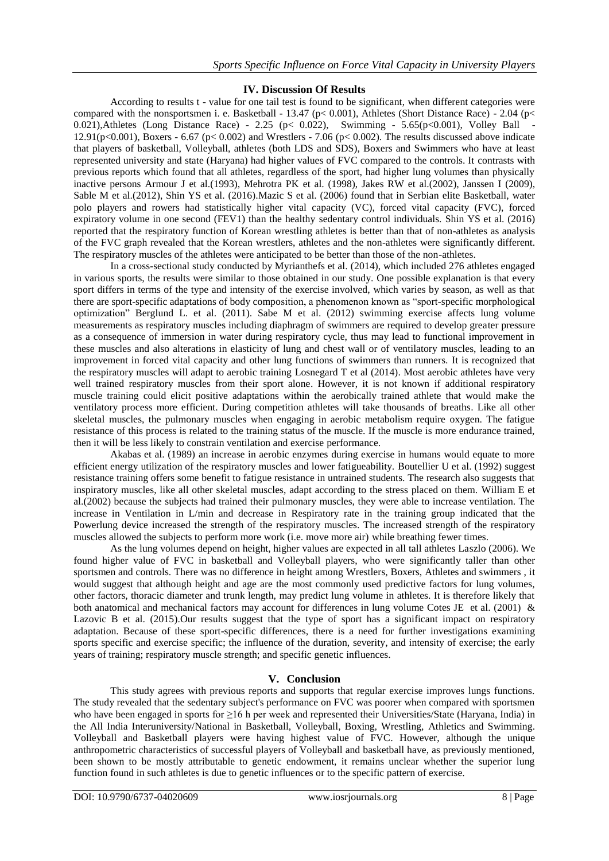## **IV. Discussion Of Results**

According to results t - value for one tail test is found to be significant, when different categories were compared with the nonsportsmen i. e. Basketball - 13.47 (p< 0.001), Athletes (Short Distance Race) - 2.04 (p< 0.021), Athletes (Long Distance Race) - 2.25 (p< 0.022), Swimming - 5.65(p<0.001), Volley Ball 12.91(p<0.001), Boxers - 6.67 (p< 0.002) and Wrestlers - 7.06 (p< 0.002). The results discussed above indicate that players of basketball, Volleyball, athletes (both LDS and SDS), Boxers and Swimmers who have at least represented university and state (Haryana) had higher values of FVC compared to the controls. It contrasts with previous reports which found that all athletes, regardless of the sport, had higher lung volumes than physically inactive persons Armour J et al.(1993), Mehrotra PK et al. (1998), Jakes RW et al.(2002), Janssen I (2009), Sable M et al.(2012), Shin YS et al. (2016).Mazic S et al. (2006) found that in Serbian elite Basketball, water polo players and rowers had statistically higher vital capacity (VC), forced vital capacity (FVC), forced expiratory volume in one second (FEV1) than the healthy sedentary control individuals. Shin YS et al. (2016) reported that the respiratory function of Korean wrestling athletes is better than that of non-athletes as analysis of the FVC graph revealed that the Korean wrestlers, athletes and the non-athletes were significantly different. The respiratory muscles of the athletes were anticipated to be better than those of the non-athletes.

In a cross-sectional study conducted by Myrianthefs et al. (2014), which included 276 athletes engaged in various sports, the results were similar to those obtained in our study. One possible explanation is that every sport differs in terms of the type and intensity of the exercise involved, which varies by season, as well as that there are sport-specific adaptations of body composition, a phenomenon known as "sport-specific morphological optimization‖ Berglund L. et al. (2011). Sabe M et al. (2012) swimming exercise affects lung volume measurements as respiratory muscles including diaphragm of swimmers are required to develop greater pressure as a consequence of immersion in water during respiratory cycle, thus may lead to functional improvement in these muscles and also alterations in elasticity of lung and chest wall or of ventilatory muscles, leading to an improvement in forced vital capacity and other lung functions of swimmers than runners. It is recognized that the respiratory muscles will adapt to aerobic training Losnegard T et al (2014). Most aerobic athletes have very well trained respiratory muscles from their sport alone. However, it is not known if additional respiratory muscle training could elicit positive adaptations within the aerobically trained athlete that would make the ventilatory process more efficient. During competition athletes will take thousands of breaths. Like all other skeletal muscles, the pulmonary muscles when engaging in aerobic metabolism require oxygen. The fatigue resistance of this process is related to the training status of the muscle. If the muscle is more endurance trained, then it will be less likely to constrain ventilation and exercise performance.

Akabas et al. (1989) an increase in aerobic enzymes during exercise in humans would equate to more efficient energy utilization of the respiratory muscles and lower fatigueability. Boutellier U et al. (1992) suggest resistance training offers some benefit to fatigue resistance in untrained students. The research also suggests that inspiratory muscles, like all other skeletal muscles, adapt according to the stress placed on them. William E et al.(2002) because the subjects had trained their pulmonary muscles, they were able to increase ventilation. The increase in Ventilation in L/min and decrease in Respiratory rate in the training group indicated that the Powerlung device increased the strength of the respiratory muscles. The increased strength of the respiratory muscles allowed the subjects to perform more work (i.e. move more air) while breathing fewer times.

As the lung volumes depend on height, higher values are expected in all tall athletes Laszlo (2006). We found higher value of FVC in basketball and Volleyball players, who were significantly taller than other sportsmen and controls. There was no difference in height among Wrestlers, Boxers, Athletes and swimmers , it would suggest that although height and age are the most commonly used predictive factors for lung volumes, other factors, thoracic diameter and trunk length, may predict lung volume in athletes. It is therefore likely that both anatomical and mechanical factors may account for differences in lung volume Cotes JE et al. (2001) & Lazovic B et al. (2015).Our results suggest that the type of sport has a significant impact on respiratory adaptation. Because of these sport-specific differences, there is a need for further investigations examining sports specific and exercise specific; the influence of the duration, severity, and intensity of exercise; the early years of training; respiratory muscle strength; and specific genetic influences.

## **V. Conclusion**

This study agrees with previous reports and supports that regular exercise improves lungs functions. The study revealed that the sedentary subject's performance on FVC was poorer when compared with sportsmen who have been engaged in sports for ≥16 h per week and represented their Universities/State (Haryana, India) in the All India Interuniversity/National in Basketball, Volleyball, Boxing, Wrestling, Athletics and Swimming. Volleyball and Basketball players were having highest value of FVC. However, although the unique anthropometric characteristics of successful players of Volleyball and basketball have, as previously mentioned, been shown to be mostly attributable to genetic endowment, it remains unclear whether the superior lung function found in such athletes is due to genetic influences or to the specific pattern of exercise.